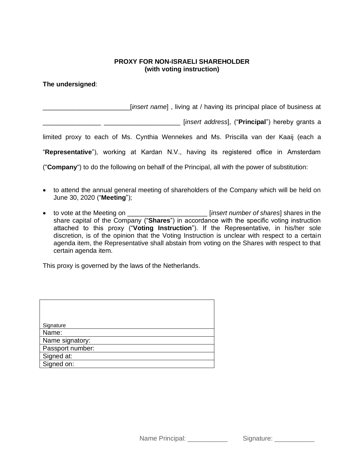## **PROXY FOR NON-ISRAELI SHAREHOLDER (with voting instruction)**

**The undersigned**:

\_\_\_\_\_\_\_\_\_\_\_\_\_\_\_\_\_\_\_\_\_\_\_\_[*insert name*] , living at / having its principal place of business at

\_\_\_\_\_\_\_\_\_\_\_\_\_\_\_\_ \_\_\_\_\_\_\_\_\_\_\_\_\_\_\_\_\_\_\_\_\_ [*insert address*], ("**Principal**") hereby grants a

limited proxy to each of Ms. Cynthia Wennekes and Ms. Priscilla van der Kaaij (each a

"**Representative**"), working at Kardan N.V., having its registered office in Amsterdam

("**Company**") to do the following on behalf of the Principal, all with the power of substitution:

- to attend the annual general meeting of shareholders of the Company which will be held on June 30, 2020 ("**Meeting**");
- to vote at the Meeting on \_\_\_\_\_\_\_\_\_\_\_\_\_\_\_\_\_\_\_\_\_\_ [*insert number of shares*] shares in the share capital of the Company ("**Shares**") in accordance with the specific voting instruction attached to this proxy ("**Voting Instruction**"). If the Representative, in his/her sole discretion, is of the opinion that the Voting Instruction is unclear with respect to a certain agenda item, the Representative shall abstain from voting on the Shares with respect to that certain agenda item.

This proxy is governed by the laws of the Netherlands.

| Signature        |
|------------------|
| Name:            |
| Name signatory:  |
| Passport number: |
| Signed at:       |
| Signed on:       |

Name Principal: \_\_\_\_\_\_\_\_\_\_\_\_\_ Signature: \_\_\_\_\_\_\_\_\_\_